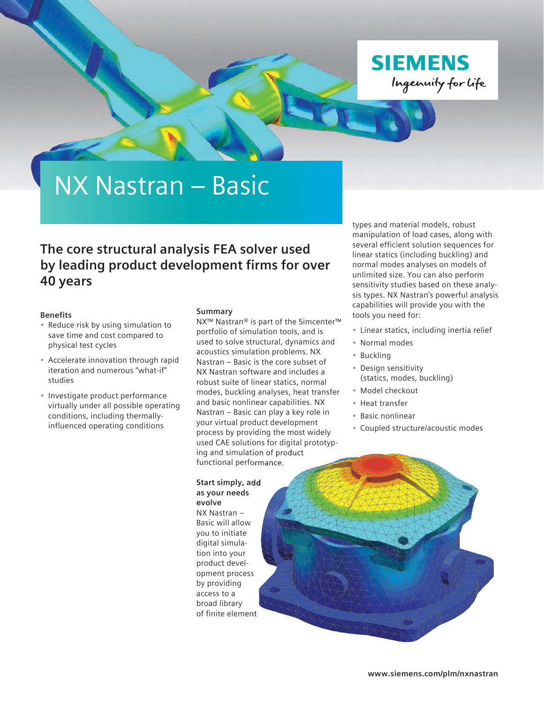

# NX Nastran – Basic

### **The core structural analysis FEA solver used by leading product development firms for over 40 years**

#### **Benefits**

- Reduce risk by using simulation to save time and cost compared to physical test cycles
- Accelerate innovation through rapid iteration and numerous "what-if" studies
- Investigate product performance virtually under all possible operating conditions, including thermallyinfluenced operating conditions

#### **Summary**

NX™ Nastran® is part of the Simcenter™ portfolio of simulation tools, and is used to solve structural, dynamics and acoustics simulation problems. NX Nastran – Basic is the core subset of NX Nastran software and includes a robust suite of linear statics, normal modes, buckling analyses, heat transfer and basic nonlinear capabilities. NX Nastran – Basic can play a key role in your virtual product development process by providing the most widely used CAE solutions for digital prototyping and simulation of product functional performance.

#### **Start simply, add as your needs**

**evolve** NX Nastran – Basic will allow you to initiate digital simulation into your product development process by providing access to a broad library of finite element types and material models, robust manipulation of load cases, along with several efficient solution sequences for linear statics (including buckling) and normal modes analyses on models of unlimited size. You can also perform sensitivity studies based on these analysis types. NX Nastran's powerful analysis capabilities will provide you with the tools you need for:

- Linear statics, including inertia relief
- Normal modes
- Buckling
- Design sensitivity (statics, modes, buckling)
- Model checkout
- Heat transfer
- Basic nonlinear
- Coupled structure/acoustic modes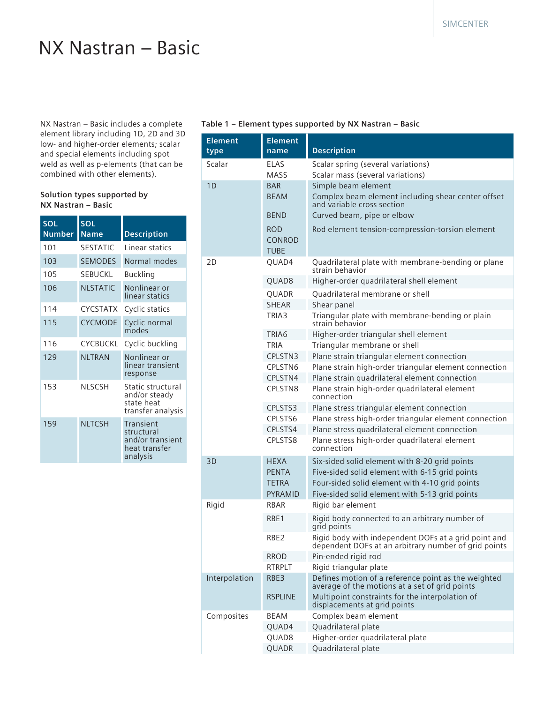## NX Nastran – Basic

NX Nastran – Basic includes a complete element library including 1D, 2D and 3D low- and higher-order elements; scalar and special elements including spot weld as well as p-elements (that can be combined with other elements).

#### **Solution types supported by NX Nastran – Basic**

| <b>SOL</b><br><b>Number</b> | <b>SOL</b><br><b>Name</b> | <b>Description</b>                                                       |
|-----------------------------|---------------------------|--------------------------------------------------------------------------|
| 101                         | <b>SESTATIC</b>           | Linear statics                                                           |
| 103                         | <b>SEMODES</b>            | Normal modes                                                             |
| 105                         | <b>SEBUCKI</b>            | <b>Buckling</b>                                                          |
| 106                         | <b>NLSTATIC</b>           | Nonlinear or<br>linear statics                                           |
| 114                         | <b>CYCSTATX</b>           | Cyclic statics                                                           |
| 115                         | <b>CYCMODE</b>            | Cyclic normal<br>modes                                                   |
| 116                         | <b>CYCBUCKL</b>           | Cyclic buckling                                                          |
| 129                         | <b>NLTRAN</b>             | Nonlinear or<br>linear transient<br>response                             |
| 153                         | <b>NLSCSH</b>             | Static structural<br>and/or steady<br>state heat<br>transfer analysis    |
| 159                         | <b>NLTCSH</b>             | Transient<br>structural<br>and/or transient<br>heat transfer<br>analysis |

#### **Table 1 – Element types supported by NX Nastran – Basic**

| <b>Element</b><br>type | <b>Element</b><br>name              | <b>Description</b>                                                                                           |
|------------------------|-------------------------------------|--------------------------------------------------------------------------------------------------------------|
| Scalar                 | ELAS                                | Scalar spring (several variations)                                                                           |
|                        | MASS                                | Scalar mass (several variations)                                                                             |
| 1D                     | <b>BAR</b>                          | Simple beam element                                                                                          |
|                        | <b>BEAM</b>                         | Complex beam element including shear center offset<br>and variable cross section                             |
|                        | <b>BEND</b>                         | Curved beam, pipe or elbow                                                                                   |
|                        | <b>ROD</b><br><b>CONROD</b><br>TUBE | Rod element tension-compression-torsion element                                                              |
| 2D                     | QUAD4                               | Quadrilateral plate with membrane-bending or plane<br>strain behavior                                        |
|                        | QUAD8                               | Higher-order quadrilateral shell element                                                                     |
|                        | QUADR                               | Quadrilateral membrane or shell                                                                              |
|                        | <b>SHEAR</b>                        | Shear panel                                                                                                  |
|                        | TRIA3                               | Triangular plate with membrane-bending or plain<br>strain behavior                                           |
|                        | TRIA6                               | Higher-order triangular shell element                                                                        |
|                        | TRIA                                | Triangular membrane or shell                                                                                 |
|                        | CPLSTN3                             | Plane strain triangular element connection                                                                   |
|                        | CPLSTN6                             | Plane strain high-order triangular element connection                                                        |
|                        | CPLSTN4                             | Plane strain quadrilateral element connection                                                                |
|                        | CPLSTN8                             | Plane strain high-order quadrilateral element<br>connection                                                  |
|                        | CPLSTS3                             | Plane stress triangular element connection                                                                   |
|                        | CPLSTS6                             | Plane stress high-order triangular element connection                                                        |
|                        | CPLSTS4                             | Plane stress quadrilateral element connection                                                                |
|                        | CPLSTS8                             | Plane stress high-order quadrilateral element<br>connection                                                  |
| 3D                     | <b>HEXA</b>                         | Six-sided solid element with 8-20 grid points                                                                |
|                        | <b>PENTA</b>                        | Five-sided solid element with 6-15 grid points                                                               |
|                        | <b>TETRA</b>                        | Four-sided solid element with 4-10 grid points                                                               |
|                        | <b>PYRAMID</b>                      | Five-sided solid element with 5-13 grid points                                                               |
| Rigid                  | <b>RBAR</b>                         | Rigid bar element                                                                                            |
|                        | RBE1                                | Rigid body connected to an arbitrary number of<br>grid points                                                |
|                        | RBE2                                | Rigid body with independent DOFs at a grid point and<br>dependent DOFs at an arbitrary number of grid points |
|                        | <b>RROD</b>                         | Pin-ended rigid rod                                                                                          |
|                        | <b>RTRPLT</b>                       | Rigid triangular plate                                                                                       |
| Interpolation          | RBE3                                | Defines motion of a reference point as the weighted<br>average of the motions at a set of grid points        |
|                        | <b>RSPLINE</b>                      | Multipoint constraints for the interpolation of<br>displacements at grid points                              |
| Composites             | BEAM                                | Complex beam element                                                                                         |
|                        | QUAD4                               | Quadrilateral plate                                                                                          |
|                        | QUAD8                               | Higher-order quadrilateral plate                                                                             |
|                        | QUADR                               | Quadrilateral plate                                                                                          |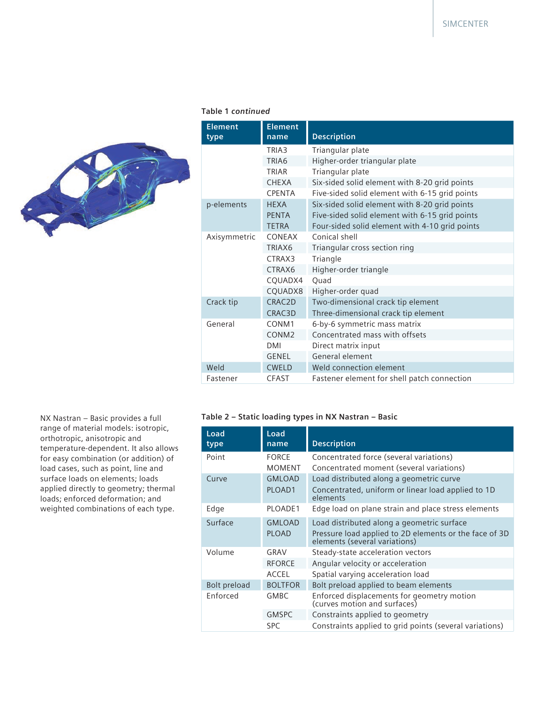

#### **Table 1** *continued*

| <b>Element</b><br>type | <b>Element</b><br>name | <b>Description</b>                             |
|------------------------|------------------------|------------------------------------------------|
|                        | TRIA3                  | Triangular plate                               |
|                        | TRIA6                  | Higher-order triangular plate                  |
|                        | TRIAR                  | Triangular plate                               |
|                        | <b>CHEXA</b>           | Six-sided solid element with 8-20 grid points  |
|                        | <b>CPENTA</b>          | Five-sided solid element with 6-15 grid points |
| p-elements             | <b>HFXA</b>            | Six-sided solid element with 8-20 grid points  |
|                        | <b>PENTA</b>           | Five-sided solid element with 6-15 grid points |
|                        | <b>TETRA</b>           | Four-sided solid element with 4-10 grid points |
| Axisymmetric           | CONFAX                 | Conical shell                                  |
|                        | TRIAX <sub>6</sub>     | Triangular cross section ring                  |
|                        | CTRAX3                 | Triangle                                       |
|                        | CTRAX6                 | Higher-order triangle                          |
|                        | CQUADX4                | Quad                                           |
|                        | CQUADX8                | Higher-order quad                              |
| Crack tip              | CRAC2D                 | Two-dimensional crack tip element              |
|                        | CRAC3D                 | Three-dimensional crack tip element            |
| General                | CONM <sub>1</sub>      | 6-by-6 symmetric mass matrix                   |
|                        | CONM <sub>2</sub>      | Concentrated mass with offsets                 |
|                        | <b>DMI</b>             | Direct matrix input                            |
|                        | <b>GENEL</b>           | General element                                |
| Weld                   | <b>CWELD</b>           | Weld connection element                        |
| Fastener               | <b>CFAST</b>           | Fastener element for shell patch connection    |

#### NX Nastran – Basic provides a full range of material models: isotropic, orthotropic, anisotropic and temperature-dependent. It also allows for easy combination (or addition) of load cases, such as point, line and surface loads on elements; loads applied directly to geometry; thermal loads; enforced deformation; and weighted combinations of each type.

#### **Table 2 – Static loading types in NX Nastran – Basic**

| Load<br>type | Load<br>name   | <b>Description</b>                                                                      |
|--------------|----------------|-----------------------------------------------------------------------------------------|
| Point        | <b>FORCE</b>   | Concentrated force (several variations)                                                 |
|              | <b>MOMENT</b>  | Concentrated moment (several variations)                                                |
| Curve        | <b>GMLOAD</b>  | Load distributed along a geometric curve                                                |
|              | PLOAD1         | Concentrated, uniform or linear load applied to 1D<br>elements                          |
| Edge         | PLOADE1        | Edge load on plane strain and place stress elements                                     |
| Surface      | <b>GMLOAD</b>  | Load distributed along a geometric surface                                              |
|              | <b>PLOAD</b>   | Pressure load applied to 2D elements or the face of 3D<br>elements (several variations) |
| Volume       | GRAV           | Steady-state acceleration vectors                                                       |
|              | <b>RFORCE</b>  | Angular velocity or acceleration                                                        |
|              | <b>ACCEL</b>   | Spatial varying acceleration load                                                       |
| Bolt preload | <b>BOLTFOR</b> | Bolt preload applied to beam elements                                                   |
| Enforced     | <b>GMBC</b>    | Enforced displacements for geometry motion<br>(curves motion and surfaces)              |
|              | <b>GMSPC</b>   | Constraints applied to geometry                                                         |
|              | <b>SPC</b>     | Constraints applied to grid points (several variations)                                 |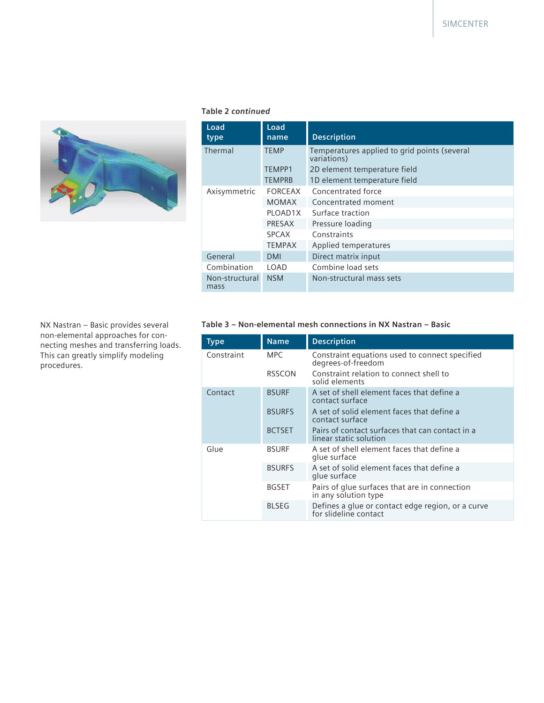

#### **Table 2** *continued*

| Load<br>type           | Load<br>name  | <b>Description</b>                                          |
|------------------------|---------------|-------------------------------------------------------------|
| Thermal                | <b>TEMP</b>   | Temperatures applied to grid points (several<br>variations) |
|                        | TEMPP1        | 2D element temperature field                                |
|                        | <b>TEMPRB</b> | 1D element temperature field                                |
| Axisymmetric           | FORCEAX       | Concentrated force                                          |
|                        | <b>MOMAX</b>  | Concentrated moment                                         |
|                        | PLOAD1X       | Surface traction                                            |
|                        | PRESAX        | Pressure loading                                            |
|                        | <b>SPCAX</b>  | Constraints                                                 |
|                        | <b>TEMPAX</b> | Applied temperatures                                        |
| General                | <b>DMI</b>    | Direct matrix input                                         |
| Combination            | LOAD.         | Combine load sets                                           |
| Non-structural<br>mass | <b>NSM</b>    | Non-structural mass sets                                    |

NX Nastran – Basic provides several non-elemental approaches for connecting meshes and transferring loads. This can greatly simplify modeling procedures.

#### **Table 3 – Non-elemental mesh connections in NX Nastran – Basic**

| <b>Type</b> | <b>Name</b>   | <b>Description</b>                                                         |
|-------------|---------------|----------------------------------------------------------------------------|
| Constraint  | <b>MPC</b>    | Constraint equations used to connect specified<br>degrees-of-freedom       |
|             | <b>RSSCON</b> | Constraint relation to connect shell to<br>solid elements                  |
| Contact     | <b>BSURF</b>  | A set of shell element faces that define a<br>contact surface              |
|             | <b>BSURFS</b> | A set of solid element faces that define a<br>contact surface              |
|             | <b>BCTSET</b> | Pairs of contact surfaces that can contact in a<br>linear static solution  |
| Glue        | <b>BSURF</b>  | A set of shell element faces that define a<br>glue surface                 |
|             | <b>BSURFS</b> | A set of solid element faces that define a<br>glue surface                 |
|             | <b>BGSET</b>  | Pairs of glue surfaces that are in connection<br>in any solution type      |
|             | <b>BLSEG</b>  | Defines a glue or contact edge region, or a curve<br>for slideline contact |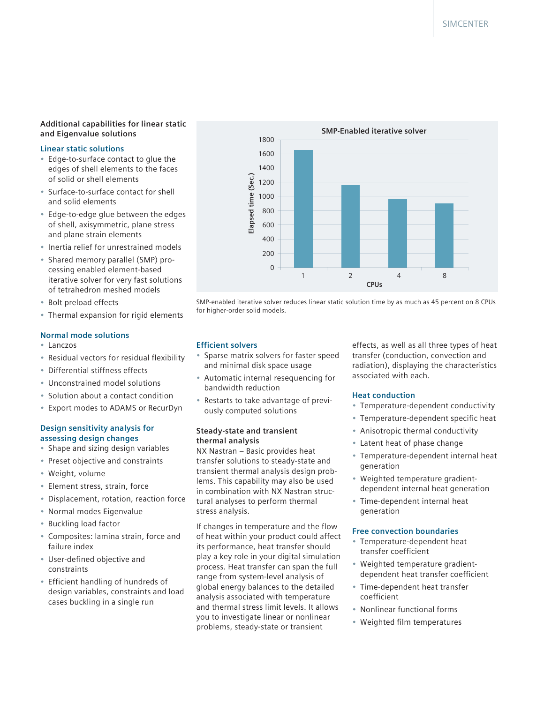#### **Additional capabilities for linear static and Eigenvalue solutions**

#### **Linear static solutions**

- Edge-to-surface contact to glue the edges of shell elements to the faces of solid or shell elements
- Surface-to-surface contact for shell and solid elements
- Edge-to-edge glue between the edges of shell, axisymmetric, plane stress and plane strain elements
- Inertia relief for unrestrained models
- Shared memory parallel (SMP) processing enabled element-based iterative solver for very fast solutions of tetrahedron meshed models
- Bolt preload effects
- Thermal expansion for rigid elements

#### **Normal mode solutions**

- Lanczos
- Residual vectors for residual flexibility
- Differential stiffness effects
- Unconstrained model solutions
- Solution about a contact condition
- Export modes to ADAMS or RecurDyn

#### **Design sensitivity analysis for assessing design changes**

- Shape and sizing design variables
- Preset objective and constraints
- Weight, volume
- Element stress, strain, force
- Displacement, rotation, reaction force
- Normal modes Eigenvalue
- Buckling load factor
- Composites: lamina strain, force and failure index
- User-defined objective and constraints
- Efficient handling of hundreds of design variables, constraints and load cases buckling in a single run



SMP-enabled iterative solver reduces linear static solution time by as much as 45 percent on 8 CPUs for higher-order solid models.

#### **Efficient solvers**

- Sparse matrix solvers for faster speed and minimal disk space usage
- Automatic internal resequencing for bandwidth reduction
- Restarts to take advantage of previously computed solutions

#### **Steady-state and transient thermal analysis**

NX Nastran – Basic provides heat transfer solutions to steady-state and transient thermal analysis design problems. This capability may also be used in combination with NX Nastran structural analyses to perform thermal stress analysis.

If changes in temperature and the flow of heat within your product could affect its performance, heat transfer should play a key role in your digital simulation process. Heat transfer can span the full range from system-level analysis of global energy balances to the detailed analysis associated with temperature and thermal stress limit levels. It allows you to investigate linear or nonlinear problems, steady-state or transient

effects, as well as all three types of heat transfer (conduction, convection and radiation), displaying the characteristics associated with each.

#### **Heat conduction**

- Temperature-dependent conductivity
- Temperature-dependent specific heat
- Anisotropic thermal conductivity
- Latent heat of phase change
- Temperature-dependent internal heat generation
- Weighted temperature gradientdependent internal heat generation
- Time-dependent internal heat generation

#### **Free convection boundaries**

- Temperature-dependent heat transfer coefficient
- Weighted temperature gradientdependent heat transfer coefficient
- Time-dependent heat transfer coefficient
- Nonlinear functional forms
- Weighted film temperatures